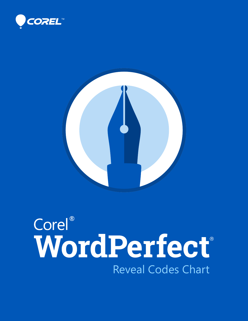



## Corel®<br>WordPerfect® Reveal Codes Chart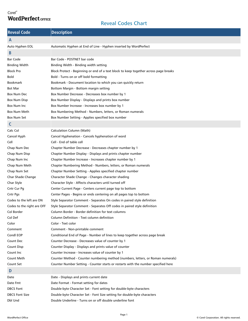## Corel® **WordPerfect OFFICE**

## Reveal Codes Chart

| <b>Reveal Code</b>         | <b>Description</b>                                                                   |
|----------------------------|--------------------------------------------------------------------------------------|
| A                          |                                                                                      |
| Auto Hyphen EOL            | Automatic Hyphen at End of Line - Hyphen inserted by WordPerfect                     |
| B                          |                                                                                      |
| <b>Bar Code</b>            | Bar Code - POSTNET bar code                                                          |
| <b>Binding Width</b>       | Binding Width - Binding width setting                                                |
| <b>Block Pro</b>           | Block Protect - Beginning or end of a text block to keep together across page breaks |
| <b>Bold</b>                | Bold - Turns on or off bold formatting                                               |
| <b>Bookmark</b>            | Bookmark - Document location to which you can quickly return                         |
| <b>Bot Mar</b>             | Bottom Margin - Bottom margin setting                                                |
| Box Num Dec                | Box Number Decrease - Decreases box number by 1                                      |
| <b>Box Num Disp</b>        | Box Number Display - Displays and prints box number                                  |
| Box Num Inc                | Box Number Increase - Increases box number by 1                                      |
| Box Num Meth               | Box Numbering Method - Numbers, letters, or Roman numerals                           |
| Box Num Set                | Box Number Setting - Applies specified box number                                    |
| C                          |                                                                                      |
| Calc Col                   | Calculation Column (Math)                                                            |
| Cancel Hyph                | Cancel Hyphenation - Cancels hyphenation of word                                     |
| Cell                       | Cell - End of table cell                                                             |
| Chap Num Dec               | Chapter Number Decrease - Decreases chapter number by 1                              |
| Chap Num Disp              | Chapter Number Display - Displays and prints chapter number                          |
| Chap Num Inc               | Chapter Number Increase - Increases chapter number by 1                              |
| Chap Num Meth              | Chapter Numbering Method - Numbers, letters, or Roman numerals                       |
| Chap Num Set               | Chapter Number Setting - Applies specified chapter number                            |
| Char Shade Change          | Character Shade Change - Changes character shading                                   |
| Char Style                 | Character Style - Affects characters until turned off                                |
| Cntr Cur Pg                | Center Current Page - Centers current page top to bottom                             |
| Cntr Pgs                   | Center Pages - Begins or ends centering on all pages top to bottom                   |
| Codes to the left are ON   | Style Separator Comment - Separates On codes in paired style definition              |
| Codes to the right are OFF | Style Separator Comment - Separates Off codes in paired style definition             |
| Col Border                 | Column Border - Border definition for text columns                                   |
| Col Def                    | Column Definition - Text column definition                                           |
| Color                      | Color - Text color                                                                   |
| Comment                    | Comment - Non-printable comment                                                      |
| Condl EOP                  | Conditional End of Page - Number of lines to keep together across page break         |
| Count Dec                  | Counter Decrease - Decreases value of counter by 1                                   |
| Count Disp                 | Counter Display - Displays and prints value of counter                               |
| Count Inc                  | Counter Increase - Increases value of counter by 1                                   |
| Count Meth                 | Counter Method - Counter numbering method (numbers, letters, or Roman numerals)      |
| Count Set                  | Counter Number Setting - Counter starts or restarts with the number specified here   |
| D                          |                                                                                      |
| Date                       | Date - Displays and prints current date                                              |
| Date Fmt                   | Date Format - Format setting for dates                                               |
| <b>DBCS Font</b>           | Double-byte Character Set - Font setting for double-byte characters                  |
| <b>DBCS Font Size</b>      | Double-byte Character Set - Font Size setting for double-byte characters             |
| Dbl Und                    | Double Underline - Turns on or off double underline font                             |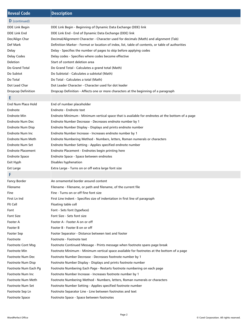| <b>Reveal Code</b>       | <b>Description</b>                                                                                |
|--------------------------|---------------------------------------------------------------------------------------------------|
| D (continued)            |                                                                                                   |
| DDE Link Begin           | DDE Link Begin - Beginning of Dynamic Data Exchange (DDE) link                                    |
| <b>DDE Link End</b>      | DDE Link End - End of Dynamic Data Exchange (DDE) link                                            |
| Dec/Align Char           | Decimal/Alignment Character - Character used for decimals (Math) and alignment (Tab)              |
| Def Mark                 | Definition Marker - Format or location of index, list, table of contents, or table of authorities |
| Delay                    | Delay - Specifies the number of pages to skip before applying codes                               |
| Delay Codes              | Delay codes - Specifies where codes become effective                                              |
| Deletion                 | Start of content deletion area                                                                    |
| Do Grand Total           | Do Grand Total - Calculates a grand total (Math)                                                  |
| Do Subtot                | Do Subtotal - Calculates a subtotal (Math)                                                        |
| Do Total                 | Do Total - Calculates a total (Math)                                                              |
| Dot Lead Char            | Dot Leader Character - Character used for dot leader                                              |
| Dropcap Definition       | Dropcap Definition - Affects one or more characters at the beginning of a paragraph               |
| Е                        |                                                                                                   |
| End Num Place Hold       | End of number placeholder                                                                         |
| Endnote                  | Endnote - Endnote text                                                                            |
| Endnote Min              | Endnote Minimum - Minimum vertical space that is available for endnotes at the bottom of a page   |
| Endnote Num Dec          | Endnote Number Decrease - Decreases endnote number by 1                                           |
| <b>Endnote Num Disp</b>  | Endnote Number Display - Displays and prints endnote number                                       |
| Endnote Num Inc          | Endnote Number Increase - Increases endnote number by 1                                           |
| Endnote Num Meth         | Endnote Numbering Method - Numbers, letters, Roman numerals or characters                         |
| <b>Endnote Num Set</b>   | Endnote Number Setting - Applies specified endnote number                                         |
| <b>Endnote Placement</b> | Endnote Placement - Endnotes begin printing here                                                  |
| <b>Endnote Space</b>     | Endnote Space - Space between endnotes                                                            |
| Exit Hyph                | Disables hyphenation                                                                              |
| Ext Large                | Extra Large - Turns on or off extra large font size                                               |
| F                        |                                                                                                   |
| <b>Fancy Border</b>      | An ornamental border around content                                                               |
| Filename                 | Filename - Filename, or path and filename, of the current file                                    |
| Fine                     | Fine - Turns on or off fine font size                                                             |
| First Ln Ind             | First Line Indent - Specifies size of indentation in first line of paragraph                      |
| Flt Cell                 | Floating table cell                                                                               |
| Font                     | Font - Sets font (typeface)                                                                       |
| <b>Font Size</b>         | Font Size - Sets font size                                                                        |
| Footer A                 | Footer A - Footer A on or off                                                                     |
| Footer B                 | Footer B - Footer B on or off                                                                     |
| Footer Sep               | Footer Separator - Distance between text and footer                                               |
| Footnote                 | Footnote - Footnote text                                                                          |
| Footnote Cont Msg        | Footnote Continued Message - Prints message when footnote spans page break                        |
| Footnote Min             | Footnote Minimum - Minimum vertical space available for footnotes at the bottom of a page         |
| Footnote Num Dec         | Footnote Number Decrease - Decreases footnote number by 1                                         |
| Footnote Num Disp        | Footnote Number Display - Displays and prints footnote number                                     |
| Footnote Num Each Pg     | Footnote Numbering Each Page - Restarts footnote numbering on each page                           |
| Footnote Num Inc         | Footnote Number Increase - Increases footnote number by 1                                         |
| Footnote Num Meth        | Footnote Numbering Method - Numbers, letters, Roman numerals or characters                        |
| Footnote Num Set         | Footnote Number Setting - Applies specified footnote number                                       |
| Footnote Sep Ln          | Footnote Separator Line - Line between footnotes and text                                         |
| <b>Footnote Space</b>    | Footnote Space - Space between footnotes                                                          |
|                          |                                                                                                   |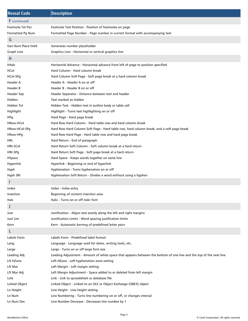| <b>Reveal Code</b>   | <b>Description</b>                                                                                                  |
|----------------------|---------------------------------------------------------------------------------------------------------------------|
| <b>F</b> (continued) |                                                                                                                     |
| Footnote Txt Pos     | Footnote Text Position - Position of footnotes on page                                                              |
| Formatted Pg Num     | Formatted Page Number - Page number in current format with accompanying text                                        |
| G                    |                                                                                                                     |
| Gen Num Place Hold   | Generates number placeholder                                                                                        |
| Graph Line           | Graphics Line - Horizontal or vertical graphics line                                                                |
| н                    |                                                                                                                     |
| HAdv                 | Horizontal Advance - Horizontal advance from left of page to position specified                                     |
| HCol                 | Hard Column - Hard column break                                                                                     |
| HCol-SPg             | Hard Column Soft Page - Soft page break at a hard column break                                                      |
| Header A             | Header A - Header A on or off                                                                                       |
| Header B             | Header B - Header B on or off                                                                                       |
| Header Sep           | Header Separator - Distance between text and header                                                                 |
| Hidden               | Text marked as hidden                                                                                               |
| Hidden Txt           | Hidden Text - Hidden text in outline body or table cell                                                             |
| Highlight            | Highlight - Turns text highlighting on or off                                                                       |
| HPg                  | Hard Page - Hard page break                                                                                         |
| HRow-HCol            | Hard Row Hard Column - Hard table row and hard column break                                                         |
| HRow-HCol-SPg        | Hard Row Hard Column Soft Page - Hard table row, hard column break, and a soft page break                           |
| HRow-HPg             | Hard Row Hard Page - Hard table row and hard page break                                                             |
| HRt                  | Hard Return - End of paragraph                                                                                      |
| HRt-SCol             | Hard Return Soft Column - Soft column break at a hard return                                                        |
| HRt-SPg              | Hard Return Soft Page - Soft page break at a hard return                                                            |
| HSpace               | Hard Space - Keeps words together on same line                                                                      |
| Hyperlink            | Hyperlink - Beginning or end of hyperlink                                                                           |
| Hyph                 | Hyphenation - Turns hyphenation on or off                                                                           |
| Hyph SRt             | Hyphenation Soft Return - Divides a word without using a hyphen                                                     |
| ı                    |                                                                                                                     |
| Index                | Index - Index entry                                                                                                 |
| Insertion            | Beginning of content insertion area                                                                                 |
| Italc                | Italic - Turns on or off italic font                                                                                |
| J                    |                                                                                                                     |
| Just                 | Justification - Aligns text evenly along the left and right margins                                                 |
| Just Lim             | Justification Limits - Word spacing justification limits                                                            |
| Kern                 | Kern - Automatic kerning of predefined letter pairs                                                                 |
| L                    |                                                                                                                     |
| Labels Form          | Labels Form - Predefined label format                                                                               |
| Lang                 | Language - Language used for dates, writing tools, etc.                                                             |
| Large                | Large - Turns on or off large font size                                                                             |
| Leading Adj          | Leading Adjustment - Amount of white space that appears between the bottom of one line and the top of the next line |
| Lft HZone            | Left HZone - Left hyphenation zone setting                                                                          |
| Lft Mar              | Left Margin - Left margin setting                                                                                   |
| Lft Mar Adj          | Left Margin Adjustment - Space added to or deleted from left margin                                                 |
| Link                 | Link - Link to spreadsheet or database file                                                                         |
| Linked Object        | Linked Object - Linked to an OLE or Object Exchange (OBEX) object                                                   |
| Ln Height            | Line Height - Line height setting                                                                                   |
| Ln Num               | Line Numbering - Turns line numbering on or off, or changes interval                                                |
| Ln Num Dec           | Line Number Decrease - Decreases line number by 1                                                                   |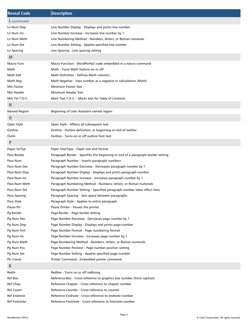| <b>Reveal Code</b> | <b>Description</b>                                                              |
|--------------------|---------------------------------------------------------------------------------|
| L (continued)      |                                                                                 |
| Ln Num Disp        | Line Number Display - Displays and prints line number                           |
| Ln Num Inc         | Line Number Increase - Increases line number by 1                               |
| Ln Num Meth        | Line Numbering Method - Numbers, letters, or Roman numerals                     |
| Ln Num Set         | Line Number Setting - Applies specified line number                             |
| Ln Spacing         | Line Spacing - Line spacing setting                                             |
| M                  |                                                                                 |
| Macro Func         | Macro Function - WordPerfect code embedded in a macro command                   |
| Math               | Math - Turns Math feature on or off                                             |
| Math Def           | Math Definition - Defines Math columns                                          |
| Math Neg           | Math Negative - Uses number as a negative in calculations (Math)                |
| Min Footer         | Minimum Footer Size                                                             |
| Min Header         | Minimum Header Size                                                             |
| Mrk Txt T.O.C.     | Mark Text T.O.C. - Marks text for Table of Contents                             |
| N                  |                                                                                 |
| Named Region       | Beginning of User Assistant named region                                        |
| $\mathbf 0$        |                                                                                 |
| Open Style         | Open Style - Affects all subsequent text                                        |
| Outline            | Outline - Outline definition, or beginning or end of outline                    |
| Outln              | Outline - Turns on or off outline font text                                     |
| P                  |                                                                                 |
| Paper Sz/Typ       | Paper Size/Type - Paper size and format                                         |
| Para Border        | Paragraph Border - Specifies the beginning or end of a paragraph border setting |
| Para Num           | Paragraph Number - Inserts paragraph numbers                                    |
| Para Num Dec       | Paragraph Number Decrease - Decreases paragraph number by 1                     |
| Para Num Disp      | Paragraph Number Display - Displays and prints paragraph number                 |
| Para Num Inc       | Paragraph Number Increase - Increases paragraph number by 1                     |
| Para Num Meth      | Paragraph Numbering Method - Numbers, letters, or Roman numerals                |
| Para Num Set       | Paragraph Number Setting - Specified paragraph number takes effect here         |
| Para Spacing       | Paragraph Spacing - Sets space between paragraphs                               |
| Para Style         | Paragraph Style - Applies to entire paragraph                                   |
| Pause Ptr          | Pause Printer - Pauses the printer                                              |
| Pg Border          | Page Border - Page border setting                                               |
| Pg Num Dec         | Page Number Decrease - Decreases page number by 1                               |
| Pg Num Disp        | Page Number Display - Displays and prints page number                           |
| Pg Num Fmt         | Page Number Format - Page numbering format                                      |
| Pg Num Inc         | Page Number Increase - Increases page number by 1                               |
| Pg Num Meth        | Page Numbering Method - Numbers, letters, or Roman numerals                     |
| Pg Num Pos         | Page Number Position - Page number position setting                             |
| Pg Num Set         | Page Number Setting - Applies specified page number                             |
| Ptr Cmnd           | Printer Command - Embedded printer command                                      |
| R                  |                                                                                 |
| Redln              | Redline - Turns on or off redlining                                             |
| Ref Box            | Reference Box - Cross-reference to graphics box number (from caption)           |
| Ref Chap           | Reference Chapter - Cross-reference to chapter number                           |
| <b>Ref Count</b>   | Reference Counter - Cross-reference to counter                                  |
| Ref Endnote        | Reference Endnote - Cross-reference to endnote number                           |
| Ref Footnote       | Reference Footnote - Cross-reference to footnote number                         |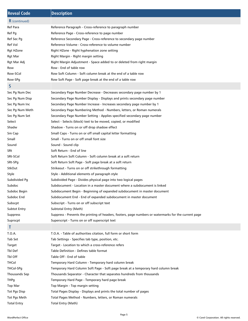| <b>Reveal Code</b>   | <b>Description</b>                                                                                    |
|----------------------|-------------------------------------------------------------------------------------------------------|
| <b>R</b> (continued) |                                                                                                       |
| Ref Para             | Reference Paragraph - Cross-reference to paragraph number                                             |
| Ref Pg               | Reference Page - Cross-reference to page number                                                       |
| Ref Sec Pg           | Reference Secondary Page - Cross-reference to secondary page number                                   |
| Ref Vol              | Reference Volume - Cross-reference to volume number                                                   |
| Rgt HZone            | Right HZone - Right hyphenation zone setting                                                          |
| <b>Rgt Mar</b>       | Right Margin - Right margin setting                                                                   |
| Rgt Mar Adj          | Right Margin Adjustment - Space added to or deleted from right margin                                 |
| Row                  | Row - End of table row                                                                                |
| Row-SCol             | Row Soft Column - Soft column break at the end of a table row                                         |
| Row-SPg              | Row Soft Page - Soft page break at the end of a table row                                             |
| S                    |                                                                                                       |
| Sec Pg Num Dec       | Secondary Page Number Decrease - Decreases secondary page number by 1                                 |
| Sec Pg Num Disp      | Secondary Page Number Display - Displays and prints secondary page number                             |
| Sec Pg Num Inc       | Secondary Page Number Increase - Increases secondary page number by 1                                 |
| Sec Pg Num Meth      | Secondary Page Numbering Method - Numbers, letters, or Roman numerals                                 |
| Sec Pg Num Set       | Secondary Page Number Setting - Applies specified secondary page number                               |
| Select               | Select - Selects (block) text to be moved, copied, or modified                                        |
| Shadw                | Shadow - Turns on or off drop shadow effect                                                           |
| Sm Cap               | Small Caps - Turns on or off small capital letter formatting                                          |
| Small                | Small - Turns on or off small font size                                                               |
|                      | Sound - Sound clip                                                                                    |
| Sound                | Soft Return - End of line                                                                             |
| SRt<br>SRt-SCol      | Soft Return Soft Column - Soft column break at a soft return                                          |
|                      |                                                                                                       |
| SRt-SPq              | Soft Return Soft Page - Soft page break at a soft return                                              |
| StkOut               | Strikeout - Turns on or off strikethrough formatting                                                  |
| Style                | Style - Additional elements of paragraph style                                                        |
| Subdivided Pg        | Subdivided Page - Divides physical page into two logical pages                                        |
| Subdoc               | Subdocument - Location in a master document where a subdocument is linked                             |
| Subdoc Begin         | Subdocument Begin - Beginning of expanded subdocument in master document                              |
| Subdoc End           | Subdocument End - End of expanded subdocument in master document                                      |
| Subscpt              | Subscript - Turns on or off subscript text                                                            |
| <b>Subtot Entry</b>  | Subtotal Entry (Math)                                                                                 |
| <b>Suppress</b>      | Suppress - Prevents the printing of headers, footers, page numbers or watermarks for the current page |
| Suprscpt             | Superscript - Turns on or off superscript text                                                        |
| т                    |                                                                                                       |
| T.O.A.               | T.O.A. - Table of authorities citation, full form or short form                                       |
| Tab Set              | Tab Settings - Specifies tab type, position, etc.                                                     |
| Target               | Target - Location to which a cross-reference refers                                                   |
| Tbl Def              | Table Definition - Defines table format                                                               |
| Tbl Off              | Table Off - End of table                                                                              |
| THCol                | Temporary Hard Column - Temporary hard column break                                                   |
| THCol-SPg            | Temporary Hard Column Soft Page - Soft page break at a temporary hard column break                    |
| Thousands Sep        | Thousands Separator - Character that separates hundreds from thousands                                |
| <b>THPg</b>          | Temporary Hard Page - Temporary hard page break                                                       |
| <b>Top Mar</b>       | Top Margin - Top margin setting                                                                       |
| <b>Tot Pgs Disp</b>  | Total Pages Display - Displays and prints the total number of pages                                   |
| Tot Pgs Meth         | Total Pages Method - Numbers, letters, or Roman numerals                                              |
| <b>Total Entry</b>   | Total Entry (Math)                                                                                    |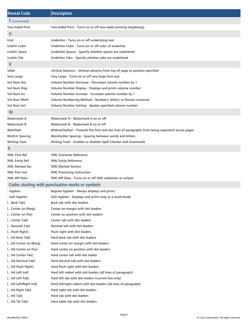| <b>Reveal Code</b>     | <b>Description</b>                                                                               |
|------------------------|--------------------------------------------------------------------------------------------------|
| <b>T</b> (continued)   |                                                                                                  |
| <b>Two-Sided Print</b> | Two-Sided Print - Turns on or off two-sided printing (duplexing)                                 |
| U                      |                                                                                                  |
| Und                    | Underline - Turns on or off underlining text                                                     |
| Undrln Color           | Underline Color - Turns on or off color of underline                                             |
| Undrln Space           | Underline Spaces - Specify whether spaces are underlined                                         |
| Undrln Tab             | Underline Tabs - Specify whether tabs are underlined                                             |
| $\mathbf v$            |                                                                                                  |
| VAdv                   | Vertical Advance - Vertical advance from top of page to position specified                       |
| Very Large             | Very Large - Turns on or off very large font size                                                |
| Vol Num Dec            | Volume Number Decrease - Decreases volume number by 1                                            |
| Vol Num Disp           | Volume Number Display - Displays and prints volume number                                        |
| Vol Num Inc            | Volume Number Increase - Increases volume number by 1                                            |
| Vol Num Meth           | Volume Numbering Method - Numbers, letters, or Roman numerals                                    |
| Vol Num Set            | Volume Number Setting - Applies specified volume number                                          |
| W                      |                                                                                                  |
| Watermark A            | Watermark A - Watermark A on or off                                                              |
| Watermark B            | Watermark B - Watermark B on or off                                                              |
| Wid/Orph               | Widow/Orphan - Prevents the first and last lines of paragraphs from being separated across pages |
| Wrd/Ltr Spacing        | Word/Letter Spacing - Spacing between words and letters                                          |
| <b>Writing Tools</b>   | Writing Tools - Enables or disables Spell Checker and Grammatik                                  |
| X                      |                                                                                                  |
| XML Char Ref           | XML Character Reference                                                                          |
| <b>XML Entity Ref</b>  | <b>XML Entity Reference</b>                                                                      |
| XML Marked Sec         | <b>XML Marked Section</b>                                                                        |
| <b>XML Proc Inst</b>   | XML Processing Instruction                                                                       |
| <b>XML WP Data</b>     | XML WP Data - Turns on or off XML validation or output                                           |
|                        | <b>Codes starting with punctuation marks or symbols</b>                                          |
| - Hyphen               | Regular hyphen - Always displays and prints                                                      |
| - Soft Hyphen          | Soft Hyphen - Displays and prints only at a word break                                           |
| [Back Tab]             | Back tab with dot leaders                                                                        |
| [Center on Marg]       | Center on margin with dot leaders                                                                |
| [Center on Pos]        | Center on position with dot leaders                                                              |
| [Center Tab]           | Center tab with dot leaders                                                                      |
| [Decimal Tab]          | Decimal tab with dot leaders                                                                     |
| [Flush Right]          | Flush right with dot leaders                                                                     |
| [Hd Back Tab]          | Hard back tab with dot leaders                                                                   |
| [Hd Center on Marg]    | Hard center on margin with dot leaders                                                           |
| [Hd Center on Pos]     | Hard center on position with dot leaders                                                         |
| [Hd Center Tab]        | Hard center tab with dot leader                                                                  |
| [Hd Decimal Tab]       | Hard decimal tab with dot leaders                                                                |
| [Hd Flush Right]       | Hard flush right with dot leaders                                                                |
| [Hd Left Ind]          | Hard left indent with dot leaders (all lines of paragraph)                                       |
| [Hd Left Tab]          | Hard left tab with dot leaders (current line only)                                               |
| [Hd Left/Right Ind]    | Hard left/right indent with dot leaders (all lines of paragraph)                                 |
| [Hd Right Tab]         | Hard right tab with dot leaders                                                                  |
| $[Hd$ Tab $]$          | Hard tab with dot leaders                                                                        |
| [Hd Tbl Tab]           | Hard table tab with dot leaders                                                                  |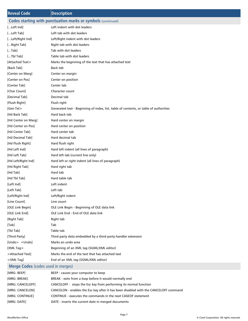| <b>Reveal Code</b>                                                                             | <b>Description</b>                                                                    |
|------------------------------------------------------------------------------------------------|---------------------------------------------------------------------------------------|
| <b>Codes starting with punctuation marks or symbols (continued)</b>                            |                                                                                       |
| [Left Ind]                                                                                     | Left indent with dot leaders                                                          |
| [Left Tab]                                                                                     | Left tab with dot leaders                                                             |
| [Left/Right Ind]                                                                               | Left/Right indent with dot leaders                                                    |
| [Right Tab]                                                                                    | Right tab with dot leaders                                                            |
| [Tab]                                                                                          | Tab with dot leaders                                                                  |
| [Tbl Tab]                                                                                      | Table tab with dot leaders                                                            |
| [Attached Text>                                                                                | Marks the beginning of the text that has attached text                                |
| [Back Tab]                                                                                     | Back tab                                                                              |
| [Center on Marg]                                                                               | Center on margin                                                                      |
| [Center on Pos]                                                                                | Center on position                                                                    |
| [Center Tab]                                                                                   | Center tab                                                                            |
| [Char Count]                                                                                   | Character count                                                                       |
| [Decimal Tab]                                                                                  | Decimal tab                                                                           |
| [Flush Right]                                                                                  | Flush right                                                                           |
| [Gen Txt>                                                                                      | Generated text - Beginning of index, list, table of contents, or table of authorities |
| [Hd Back Tab]                                                                                  | Hard back tab                                                                         |
| [Hd Center on Marg]                                                                            | Hard center on margin                                                                 |
| [Hd Center on Pos]                                                                             | Hard center on position                                                               |
| [Hd Center Tab]                                                                                | Hard center tab                                                                       |
| [Hd Decimal Tab]                                                                               | Hard decimal tab                                                                      |
| [Hd Flush Right]                                                                               | Hard flush right                                                                      |
| [Hd Left Ind]                                                                                  | Hard left indent (all lines of paragraph)                                             |
| [Hd Left Tab]                                                                                  | Hard left tab (current line only)                                                     |
| [Hd Left/Right Ind]                                                                            | Hard left or right indent (all lines of paragraph)                                    |
| [Hd Right Tab]                                                                                 | Hard right tab                                                                        |
| [Hd Tab]                                                                                       | Hard tab                                                                              |
| [Hd Tbl Tab]                                                                                   | Hard table tab                                                                        |
| [Left Ind]                                                                                     | Left indent                                                                           |
| [Left Tab]                                                                                     | Left tab                                                                              |
| [Left/Right Ind]                                                                               | Left/Right indent                                                                     |
| [Line Count]                                                                                   | Line count                                                                            |
| [OLE Link Begin]                                                                               | OLE Link Begin - Beginning of OLE data link                                           |
| [OLE Link End]                                                                                 | OLE Link End - End of OLE data link                                                   |
| [Right Tab]                                                                                    | Right tab                                                                             |
| [Tab]                                                                                          | Tab                                                                                   |
| [Tbl Tab]                                                                                      | Table tab                                                                             |
| [Third Party]                                                                                  | Third-party data embedded by a third-party-handler extension                          |
| [Undo> <undo]< td=""><td>Marks an undo area</td></undo]<>                                      | Marks an undo area                                                                    |
| [XML Tag>                                                                                      | Beginning of an XML tag (SGML/XML editor)                                             |
| <attached td="" text]<=""><td>Marks the end of the text that has attached text</td></attached> | Marks the end of the text that has attached text                                      |
| $<$ XML Tag]                                                                                   | End of an XML tag (SGML/XML editor)                                                   |
| Merge Codes (codes used in merges)                                                             |                                                                                       |
| [MRG: BEEP]                                                                                    | BEEP - causes your computer to beep                                                   |
| [MRG: BREAK]                                                                                   | BREAK - exits from a loop before it would normally end                                |
| [MRG: CANCELOFF]                                                                               | CANCELOFF - stops the Esc key from performing its normal function                     |
| [MRG: CANCELON]                                                                                | CANCELON - enables the Esc key after it has been disabled with the CANCELOFF command  |

- [MRG: CONTINUE] CONTINUE executes the commands in the next CASEOF statement
- [MRG: DATE] DATE inserts the current date in merged documents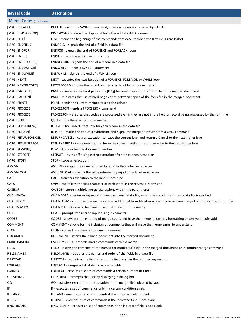| <b>Reveal Code</b>             | <b>Description</b>                                                                                                         |
|--------------------------------|----------------------------------------------------------------------------------------------------------------------------|
| <b>Merge Codes (continued)</b> |                                                                                                                            |
| [MRG: DEFAULT]                 | DEFAULT - with the SWITCH command, covers all cases not covered by CASEOF                                                  |
| [MRG: DISPLAYSTOP]             | DISPLAYSTOP - stops the display of text after a KEYBOARD command                                                           |
| [MRG: ELSE]                    | ELSE - marks the beginning of the commands that execute when the IF value is zero (false)                                  |
| [MRG: ENDFIELD]                | ENDFIELD - signals the end of a field in a data file                                                                       |
| [MRG: ENDFOR]                  | ENDFOR - signals the end of FORNEXT and FOREACH loops                                                                      |
| [MRG: ENDIF]                   | ENDIF - marks the end of an IF structure                                                                                   |
| [MRG: ENDRECORD]               | ENDRECORD - signals the end of a record in a data file                                                                     |
| [MRG: ENDSWITCH]               | <b>ENDSWITCH - ends a SWITCH statement</b>                                                                                 |
| [MRG: ENDWHILE]                | ENDWHILE - signals the end of a WHILE loop                                                                                 |
| [MRG: NEXT]                    | NEXT - executes the next iteration of a FORNEXT, FOREACH, or WHILE loop                                                    |
| [MRG: NEXTRECORD]              | NEXTRECORD - moves the record pointer in a data file to the next record                                                    |
| [MRG: PAGEOFF]                 | PAGE - eliminates the hard page code [HPg] between copies of the form file in the merged document                          |
| [MRG: PAGEON]                  | PAGE - reinstates the use of hard page codes between copies of the form file in the merged document                        |
| [MRG: PRINT]                   | PRINT - sends the current merged text to the printer                                                                       |
| [MRG: PROCESS]                 | PROCESSOFF - ends a PROCESSON command                                                                                      |
| [MRG: PROCESS]                 | PROCESSON - ensures that codes are processed even if they are not in the field or record being processed by the form file  |
| [MRG: QUIT]                    | QUIT - stops the execution of a merge                                                                                      |
| [MRG: REPEATROW]               | REPEATROW - inserts that row for each record in the data file                                                              |
| [MRG: RETURN]                  | RETURN - marks the end of a subroutine and signal the merge to return from a CALL command                                  |
| [MRG: RETURNCANCEL]            | RETURNCANCEL - causes execution to leave the current level and return a Cancel to the next higher level                    |
| [MRG: RETURNERROR]             | RETURNERROR - cause execution to leave the current level and return an error to the next higher level                      |
| [MRG: REWRITE]                 | REWRITE - rewrites the document window                                                                                     |
| [MRG: STEPOFF]                 | STEPOFF - turns off a single step execution after it has been turned on                                                    |
| [MRG: STOP]                    | STOP - stops all execution                                                                                                 |
| ASSIGN                         | ASSIGN - assigns the value returned by expr to the global variable var                                                     |
| ASSIGNLOCAL                    | ASSIGNLOCAL - assigns the value returned by expr to the local variable var                                                 |
| <b>CALL</b>                    | CALL - transfers execution to the label subroutine                                                                         |
| <b>CAPS</b>                    | CAPS - capitalizes the first character of each word in the returned expression                                             |
| CASEOF                         | CASEOF - enters multiple merge expressions within the parentheses                                                          |
| CHAINDATA                      | CHAINDATA - begins using records from the named data file, when the end of the current data file is reached                |
| <b>CHAINFORM</b>               | CHAINFORM - continues the merge with an additional form file after all records have been merged with the current form file |
| <b>CHAINMACRO</b>              | CHAINMACRO - starts the named macro at the end of the merge                                                                |
| <b>CHAR</b>                    | CHAR - prompts the user to input a single character                                                                        |
| <b>CODES</b>                   | CODES - allows for the entering of merge codes and have the merge ignore any formatting or text you might add              |
| <b>COMMENT</b>                 | COMMENT - allows for the inclusion of comments that will make the merge easier to understand                               |
| <b>CTON</b>                    | CTON - converts a character to a unique number                                                                             |
| <b>DOCUMENT</b>                | DOCUMENT - inserts the named document into the merged document                                                             |
| <b>EMBEDMACRO</b>              | EMBEDMACRO - embeds macro commands within a merge                                                                          |
| <b>FIELD</b>                   | FIELD - inserts the contents of the named (or numbered) field in the merged document or in another merge command           |
| <b>FIELDNAMES</b>              | FIELDNAMES - declares the names and order of the fields in a data file                                                     |
| <b>FIRSTCAP</b>                | FIRSTCAP - capitalizes the first letter of the first word in the returned expression                                       |
| <b>FOREACH</b>                 | FOREACH - assigns a list of items to one variable                                                                          |
| <b>FORNEXT</b>                 | FORNEXT - executes a series of commands a certain number of times                                                          |
| <b>GETSTRING</b>               | GETSTRING - prompts the user by displaying a dialog box                                                                    |
| GO                             | GO - transfers execution to the location in the merge file indicated by label                                              |
| IF                             | IF - executes a set of commands only if a certain condition exists                                                         |
| <b>IFBLANK</b>                 | IFBLANK - executes a set of commands if the indicated field is blank                                                       |
| <b>IFEXISTS</b>                | IFEXISTS - executes a set of commands if the indicated field is not blank                                                  |
| <b>IFNOTBLANK</b>              | IFNOTBLANK - executes a set of commands if the indicated field is not blank                                                |